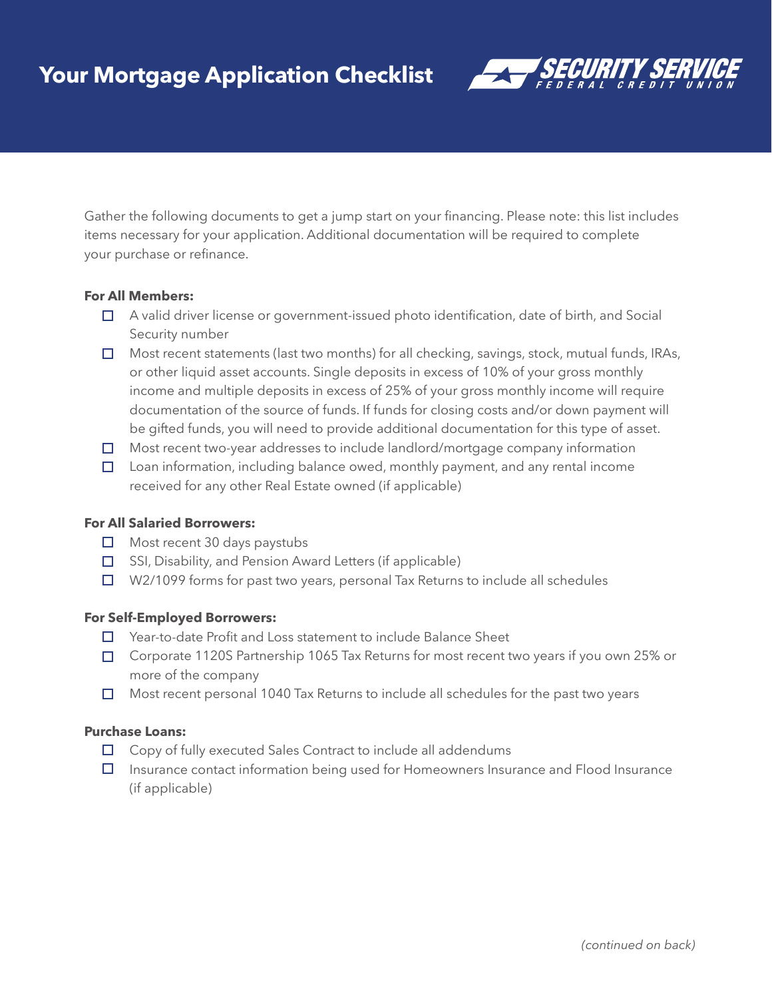

Gather the following documents to get a jump start on your financing. Please note: this list includes items necessary for your application. Additional documentation will be required to complete your purchase or refinance.

# **For All Members:**

- □ A valid driver license or government-issued photo identification, date of birth, and Social Security number
- $\Box$  Most recent statements (last two months) for all checking, savings, stock, mutual funds, IRAs, or other liquid asset accounts. Single deposits in excess of 10% of your gross monthly income and multiple deposits in excess of 25% of your gross monthly income will require documentation of the source of funds. If funds for closing costs and/or down payment will be gifted funds, you will need to provide additional documentation for this type of asset.
- □ Most recent two-year addresses to include landlord/mortgage company information
- $\Box$  Loan information, including balance owed, monthly payment, and any rental income received for any other Real Estate owned (if applicable)

### **For All Salaried Borrowers:**

- $\Box$  Most recent 30 days paystubs
- □ SSI, Disability, and Pension Award Letters (if applicable)
- $\Box$  W2/1099 forms for past two years, personal Tax Returns to include all schedules

## **For Self-Employed Borrowers:**

- □ Year-to-date Profit and Loss statement to include Balance Sheet
- □ Corporate 1120S Partnership 1065 Tax Returns for most recent two years if you own 25% or more of the company
- $\Box$  Most recent personal 1040 Tax Returns to include all schedules for the past two years

## **Purchase Loans:**

- □ Copy of fully executed Sales Contract to include all addendums
- $\Box$  Insurance contact information being used for Homeowners Insurance and Flood Insurance (if applicable)